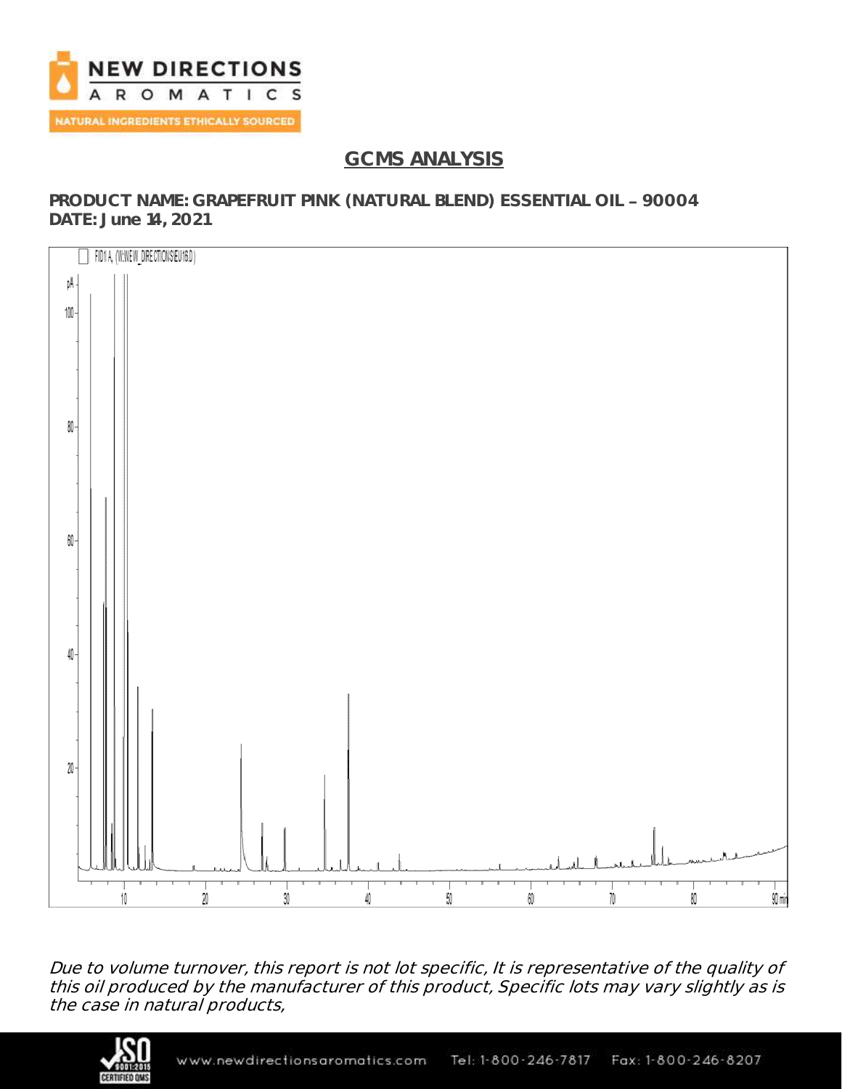

# **GCMS ANALYSIS**

**PRODUCT NAME: GRAPEFRUIT PINK (NATURAL BLEND) ESSENTIAL OIL 90004 DATE: June 14, 2021**



Due to volume turnover, this report is not lot specific, It is representative of the quality of this oil produced by the manufacturer of this product, Specific lots may vary slightly as is the case in natural products,

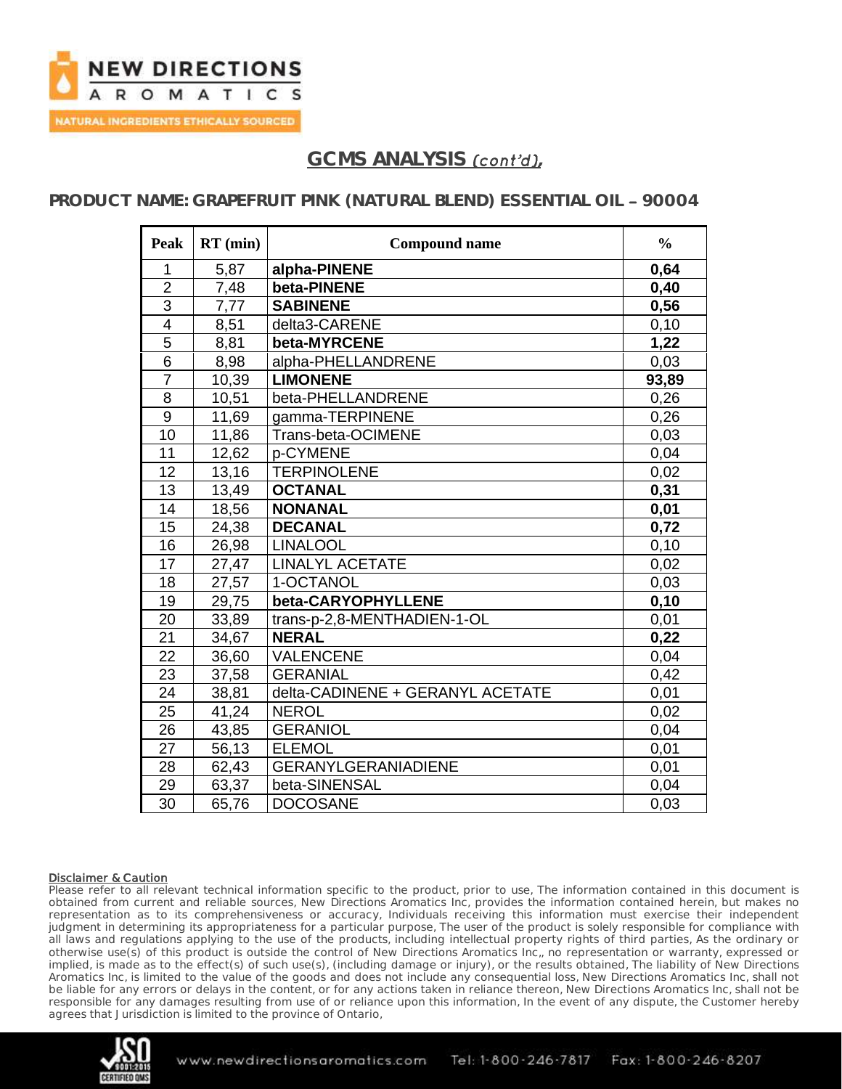

## GCMS ANALYSIS *(cont'd)*

### **PRODUCT NAME: GRAPEFRUIT PINK (NATURAL BLEND) ESSENTIAL OIL 90004**

| <b>Peak</b>    | $RT$ (min) | <b>Compound name</b>             | $\frac{0}{0}$ |
|----------------|------------|----------------------------------|---------------|
| 1              | 5,87       | alpha-PINENE                     | 0,64          |
| $\overline{2}$ | 7,48       | beta-PINENE                      | 0,40          |
| $\overline{3}$ | 7,77       | <b>SABINENE</b>                  | 0,56          |
| $\overline{4}$ | 8,51       | delta3-CARENE                    | 0,10          |
| 5              | 8,81       | beta-MYRCENE                     | 1,22          |
| 6              | 8,98       | alpha-PHELLANDRENE               | 0,03          |
| $\overline{7}$ | 10,39      | <b>LIMONENE</b>                  | 93,89         |
| 8              | 10,51      | beta-PHELLANDRENE                | 0,26          |
| 9              | 11,69      | gamma-TERPINENE                  | 0,26          |
| 10             | 11,86      | Trans-beta-OCIMENE               | 0,03          |
| 11             | 12,62      | p-CYMENE                         | 0,04          |
| 12             | 13,16      | <b>TERPINOLENE</b>               | 0,02          |
| 13             | 13,49      | <b>OCTANAL</b>                   | 0,31          |
| 14             | 18,56      | <b>NONANAL</b>                   | 0,01          |
| 15             | 24,38      | <b>DECANAL</b>                   | 0,72          |
| 16             | 26,98      | <b>LINALOOL</b>                  | 0,10          |
| 17             | 27,47      | <b>LINALYL ACETATE</b>           | 0,02          |
| 18             | 27,57      | 1-OCTANOL                        | 0,03          |
| 19             | 29,75      | beta-CARYOPHYLLENE               | 0,10          |
| 20             | 33,89      | trans-p-2,8-MENTHADIEN-1-OL      | 0,01          |
| 21             | 34,67      | <b>NERAL</b>                     | 0,22          |
| 22             | 36,60      | <b>VALENCENE</b>                 | 0,04          |
| 23             | 37,58      | <b>GERANIAL</b>                  | 0,42          |
| 24             | 38,81      | delta-CADINENE + GERANYL ACETATE | 0,01          |
| 25             | 41,24      | <b>NEROL</b>                     | 0,02          |
| 26             | 43,85      | <b>GERANIOL</b>                  | 0,04          |
| 27             | 56,13      | <b>ELEMOL</b>                    | 0,01          |
| 28             | 62,43      | <b>GERANYLGERANIADIENE</b>       | 0,01          |
| 29             | 63,37      | beta-SINENSAL                    | 0,04          |
| 30             | 65,76      | <b>DOCOSANE</b>                  | 0,03          |

### Disclaimer & Caution

Please refer to all relevant technical information specific to the product, prior to use, The information contained in this document is obtained from current and reliable sources, New Directions Aromatics Inc, provides the information contained herein, but makes no representation as to its comprehensiveness or accuracy, Individuals receiving this information must exercise their independent judgment in determining its appropriateness for a particular purpose, The user of the product is solely responsible for compliance with all laws and regulations applying to the use of the products, including intellectual property rights of third parties, As the ordinary or otherwise use(s) of this product is outside the control of New Directions Aromatics Inc,, no representation or warranty, expressed or implied, is made as to the effect(s) of such use(s), (including damage or injury), or the results obtained, The liability of New Directions Aromatics Inc, is limited to the value of the goods and does not include any consequential loss, New Directions Aromatics Inc, shall not be liable for any errors or delays in the content, or for any actions taken in reliance thereon, New Directions Aromatics Inc, shall not be responsible for any damages resulting from use of or reliance upon this information, In the event of any dispute, the Customer hereby agrees that Jurisdiction is limited to the province of Ontario,